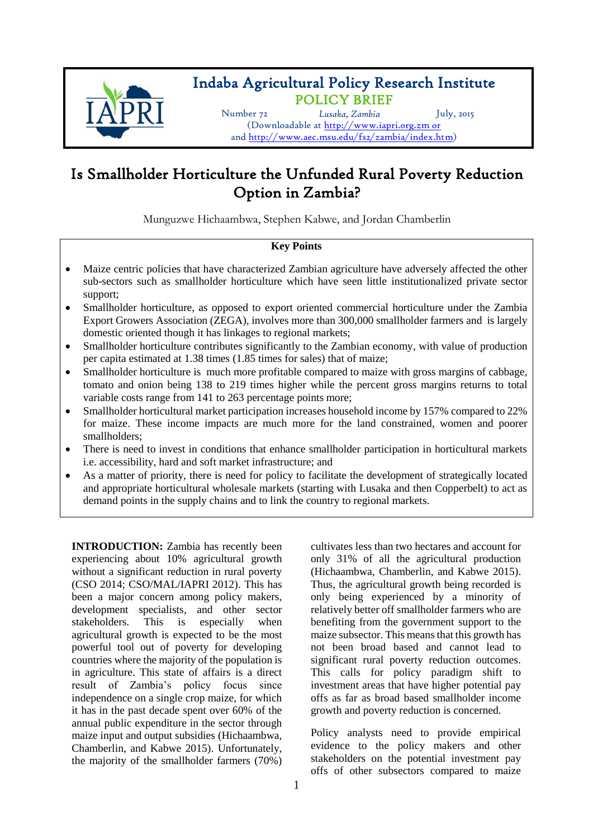

## Indaba Agricultural Policy Research Institute POLICY BRIEF

Number 72 *Lusaka, Zambia* July, 2015

(Downloadable at [http://www.iapri.org.zm](http://www.iapri.org.zm/) or and [http://www.aec.msu.edu/fs2/zambia/index.htm\)](http://www.aec.msu.edu/fs2/zambia/index.htm)

# Is Smallholder Horticulture the Unfunded Rural Poverty Reduction Option in Zambia?

Munguzwe Hichaambwa, Stephen Kabwe, and Jordan Chamberlin

### **Key Points**

- Maize centric policies that have characterized Zambian agriculture have adversely affected the other sub-sectors such as smallholder horticulture which have seen little institutionalized private sector support;
- Smallholder horticulture, as opposed to export oriented commercial horticulture under the Zambia Export Growers Association (ZEGA), involves more than 300,000 smallholder farmers and is largely domestic oriented though it has linkages to regional markets;
- Smallholder horticulture contributes significantly to the Zambian economy, with value of production per capita estimated at 1.38 times (1.85 times for sales) that of maize;
- Smallholder horticulture is much more profitable compared to maize with gross margins of cabbage, tomato and onion being 138 to 219 times higher while the percent gross margins returns to total variable costs range from 141 to 263 percentage points more;
- Smallholder horticultural market participation increases household income by 157% compared to 22% for maize. These income impacts are much more for the land constrained, women and poorer smallholders;
- There is need to invest in conditions that enhance smallholder participation in horticultural markets i.e. accessibility, hard and soft market infrastructure; and
- As a matter of priority, there is need for policy to facilitate the development of strategically located and appropriate horticultural wholesale markets (starting with Lusaka and then Copperbelt) to act as demand points in the supply chains and to link the country to regional markets.

**INTRODUCTION:** Zambia has recently been experiencing about 10% agricultural growth without a significant reduction in rural poverty (CSO 2014; CSO/MAL/IAPRI 2012). This has been a major concern among policy makers, development specialists, and other sector stakeholders. This is especially when agricultural growth is expected to be the most powerful tool out of poverty for developing countries where the majority of the population is in agriculture. This state of affairs is a direct result of Zambia's policy focus since independence on a single crop maize, for which it has in the past decade spent over 60% of the annual public expenditure in the sector through maize input and output subsidies (Hichaambwa, Chamberlin, and Kabwe 2015). Unfortunately, the majority of the smallholder farmers (70%)

cultivates less than two hectares and account for only 31% of all the agricultural production (Hichaambwa, Chamberlin, and Kabwe 2015). Thus, the agricultural growth being recorded is only being experienced by a minority of relatively better off smallholder farmers who are benefiting from the government support to the maize subsector. This means that this growth has not been broad based and cannot lead to significant rural poverty reduction outcomes. This calls for policy paradigm shift to investment areas that have higher potential pay offs as far as broad based smallholder income growth and poverty reduction is concerned.

Policy analysts need to provide empirical evidence to the policy makers and other stakeholders on the potential investment pay offs of other subsectors compared to maize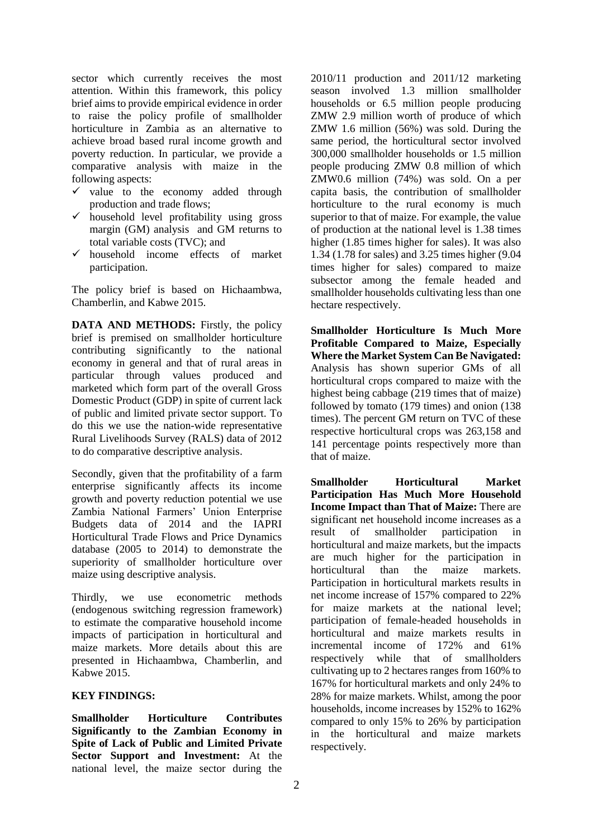sector which currently receives the most attention. Within this framework, this policy brief aims to provide empirical evidence in order to raise the policy profile of smallholder horticulture in Zambia as an alternative to achieve broad based rural income growth and poverty reduction. In particular, we provide a comparative analysis with maize in the following aspects:

- $\checkmark$  value to the economy added through production and trade flows;
- $\checkmark$  household level profitability using gross margin (GM) analysis and GM returns to total variable costs (TVC); and
- $\checkmark$  household income effects of market participation.

The policy brief is based on Hichaambwa, Chamberlin, and Kabwe 2015.

**DATA AND METHODS:** Firstly, the policy brief is premised on smallholder horticulture contributing significantly to the national economy in general and that of rural areas in particular through values produced and marketed which form part of the overall Gross Domestic Product (GDP) in spite of current lack of public and limited private sector support. To do this we use the nation-wide representative Rural Livelihoods Survey (RALS) data of 2012 to do comparative descriptive analysis.

Secondly, given that the profitability of a farm enterprise significantly affects its income growth and poverty reduction potential we use Zambia National Farmers' Union Enterprise Budgets data of 2014 and the IAPRI Horticultural Trade Flows and Price Dynamics database (2005 to 2014) to demonstrate the superiority of smallholder horticulture over maize using descriptive analysis.

Thirdly, we use econometric methods (endogenous switching regression framework) to estimate the comparative household income impacts of participation in horticultural and maize markets. More details about this are presented in Hichaambwa, Chamberlin, and Kabwe 2015.

#### **KEY FINDINGS:**

**Smallholder Horticulture Contributes Significantly to the Zambian Economy in Spite of Lack of Public and Limited Private Sector Support and Investment:** At the national level, the maize sector during the 2010/11 production and 2011/12 marketing season involved 1.3 million smallholder households or 6.5 million people producing ZMW 2.9 million worth of produce of which ZMW 1.6 million (56%) was sold. During the same period, the horticultural sector involved 300,000 smallholder households or 1.5 million people producing ZMW 0.8 million of which ZMW0.6 million (74%) was sold. On a per capita basis, the contribution of smallholder horticulture to the rural economy is much superior to that of maize. For example, the value of production at the national level is 1.38 times higher (1.85 times higher for sales). It was also 1.34 (1.78 for sales) and 3.25 times higher (9.04 times higher for sales) compared to maize subsector among the female headed and smallholder households cultivating less than one hectare respectively.

**Smallholder Horticulture Is Much More Profitable Compared to Maize, Especially Where the Market System Can Be Navigated:** Analysis has shown superior GMs of all horticultural crops compared to maize with the highest being cabbage (219 times that of maize) followed by tomato (179 times) and onion (138 times). The percent GM return on TVC of these respective horticultural crops was 263,158 and 141 percentage points respectively more than that of maize.

**Smallholder Horticultural Market Participation Has Much More Household Income Impact than That of Maize:** There are significant net household income increases as a result of smallholder participation in horticultural and maize markets, but the impacts are much higher for the participation in horticultural than the maize markets. Participation in horticultural markets results in net income increase of 157% compared to 22% for maize markets at the national level; participation of female-headed households in horticultural and maize markets results in incremental income of 172% and 61% respectively while that of smallholders cultivating up to 2 hectares ranges from 160% to 167% for horticultural markets and only 24% to 28% for maize markets. Whilst, among the poor households, income increases by 152% to 162% compared to only 15% to 26% by participation in the horticultural and maize markets respectively.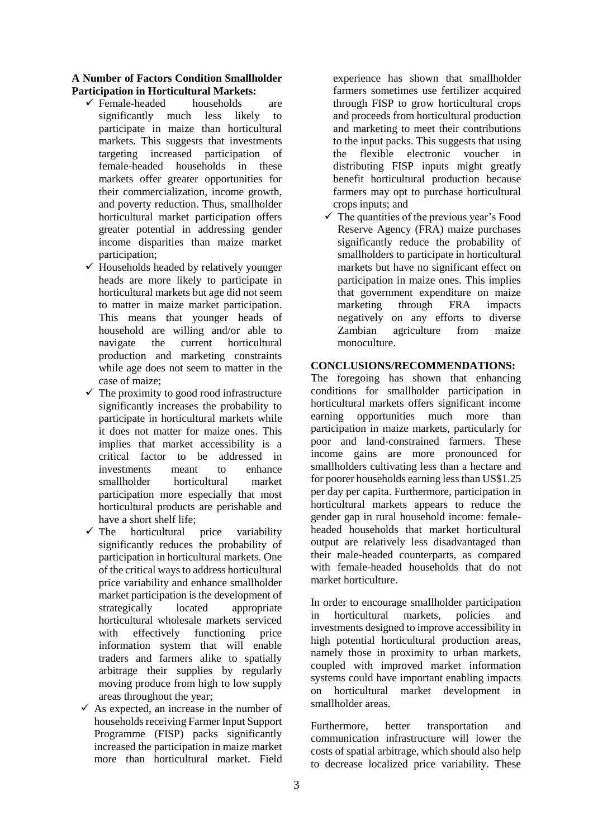#### **A Number of Factors Condition Smallholder Participation in Horticultural Markets:**

- $\checkmark$  Female-headed households are significantly much less likely to significantly much less participate in maize than horticultural markets. This suggests that investments targeting increased participation of female-headed households in these markets offer greater opportunities for their commercialization, income growth, and poverty reduction. Thus, smallholder horticultural market participation offers greater potential in addressing gender income disparities than maize market participation;
- $\checkmark$  Households headed by relatively younger heads are more likely to participate in horticultural markets but age did not seem to matter in maize market participation. This means that younger heads of household are willing and/or able to navigate the current horticultural production and marketing constraints while age does not seem to matter in the case of maize;
- $\checkmark$  The proximity to good rood infrastructure significantly increases the probability to participate in horticultural markets while it does not matter for maize ones. This implies that market accessibility is a critical factor to be addressed in investments meant to enhance smallholder horticultural market participation more especially that most horticultural products are perishable and have a short shelf life;
- $\checkmark$  The horticultural price variability significantly reduces the probability of participation in horticultural markets. One of the critical ways to address horticultural price variability and enhance smallholder market participation is the development of strategically located appropriate horticultural wholesale markets serviced with effectively functioning price information system that will enable traders and farmers alike to spatially arbitrage their supplies by regularly moving produce from high to low supply areas throughout the year;
- $\checkmark$  As expected, an increase in the number of households receiving Farmer Input Support Programme (FISP) packs significantly increased the participation in maize market more than horticultural market. Field

experience has shown that smallholder farmers sometimes use fertilizer acquired through FISP to grow horticultural crops and proceeds from horticultural production and marketing to meet their contributions to the input packs. This suggests that using the flexible electronic voucher in distributing FISP inputs might greatly benefit horticultural production because farmers may opt to purchase horticultural crops inputs; and

 $\checkmark$  The quantities of the previous year's Food Reserve Agency (FRA) maize purchases significantly reduce the probability of smallholders to participate in horticultural markets but have no significant effect on participation in maize ones. This implies that government expenditure on maize marketing through FRA impacts negatively on any efforts to diverse Zambian agriculture from maize monoculture.

#### **CONCLUSIONS/RECOMMENDATIONS:**

The foregoing has shown that enhancing conditions for smallholder participation in horticultural markets offers significant income earning opportunities much more than participation in maize markets, particularly for poor and land-constrained farmers. These income gains are more pronounced for smallholders cultivating less than a hectare and for poorer households earning less than US\$1.25 per day per capita. Furthermore, participation in horticultural markets appears to reduce the gender gap in rural household income: femaleheaded households that market horticultural output are relatively less disadvantaged than their male-headed counterparts, as compared with female-headed households that do not market horticulture.

In order to encourage smallholder participation in horticultural markets, policies and investments designed to improve accessibility in high potential horticultural production areas, namely those in proximity to urban markets, coupled with improved market information systems could have important enabling impacts on horticultural market development in smallholder areas.

Furthermore, better transportation and communication infrastructure will lower the costs of spatial arbitrage, which should also help to decrease localized price variability. These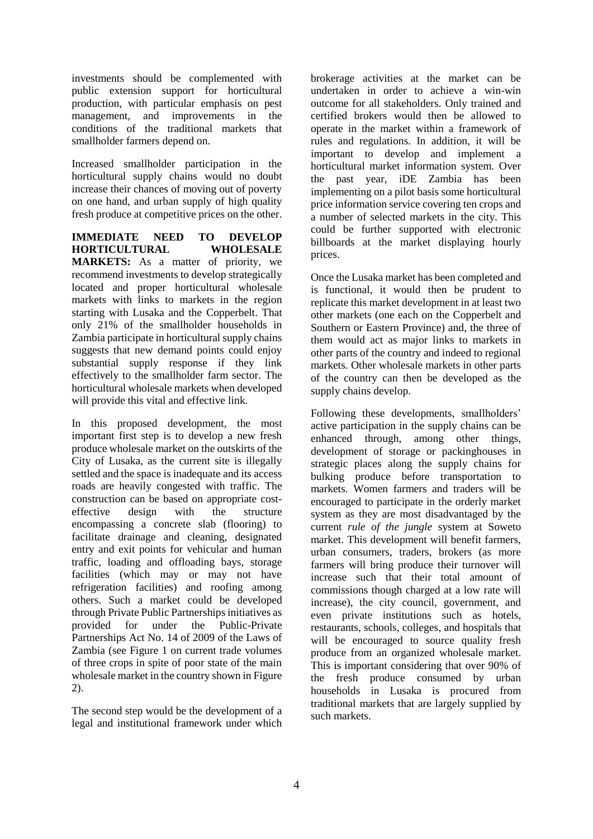investments should be complemented with public extension support for horticultural production, with particular emphasis on pest management, and improvements in the conditions of the traditional markets that smallholder farmers depend on.

Increased smallholder participation in the horticultural supply chains would no doubt increase their chances of moving out of poverty on one hand, and urban supply of high quality fresh produce at competitive prices on the other.

**IMMEDIATE NEED TO DEVELOP HORTICULTURAL WHOLESALE MARKETS:** As a matter of priority, we recommend investments to develop strategically located and proper horticultural wholesale markets with links to markets in the region starting with Lusaka and the Copperbelt. That only 21% of the smallholder households in Zambia participate in horticultural supply chains suggests that new demand points could enjoy substantial supply response if they link effectively to the smallholder farm sector. The horticultural wholesale markets when developed will provide this vital and effective link.

In this proposed development, the most important first step is to develop a new fresh produce wholesale market on the outskirts of the City of Lusaka, as the current site is illegally settled and the space is inadequate and its access roads are heavily congested with traffic. The construction can be based on appropriate costeffective design with the structure encompassing a concrete slab (flooring) to facilitate drainage and cleaning, designated entry and exit points for vehicular and human traffic, loading and offloading bays, storage facilities (which may or may not have refrigeration facilities) and roofing among others. Such a market could be developed through Private Public Partnerships initiatives as provided for under the Public-Private Partnerships Act No. 14 of 2009 of the Laws of Zambia (see Figure 1 on current trade volumes of three crops in spite of poor state of the main wholesale market in the country shown in Figure 2).

The second step would be the development of a legal and institutional framework under which brokerage activities at the market can be undertaken in order to achieve a win-win outcome for all stakeholders. Only trained and certified brokers would then be allowed to operate in the market within a framework of rules and regulations. In addition, it will be important to develop and implement a horticultural market information system. Over the past year, iDE Zambia has been implementing on a pilot basis some horticultural price information service covering ten crops and a number of selected markets in the city. This could be further supported with electronic billboards at the market displaying hourly prices.

Once the Lusaka market has been completed and is functional, it would then be prudent to replicate this market development in at least two other markets (one each on the Copperbelt and Southern or Eastern Province) and, the three of them would act as major links to markets in other parts of the country and indeed to regional markets. Other wholesale markets in other parts of the country can then be developed as the supply chains develop.

Following these developments, smallholders' active participation in the supply chains can be enhanced through, among other things, development of storage or packinghouses in strategic places along the supply chains for bulking produce before transportation to markets. Women farmers and traders will be encouraged to participate in the orderly market system as they are most disadvantaged by the current *rule of the jungle* system at Soweto market. This development will benefit farmers, urban consumers, traders, brokers (as more farmers will bring produce their turnover will increase such that their total amount of commissions though charged at a low rate will increase), the city council, government, and even private institutions such as hotels, restaurants, schools, colleges, and hospitals that will be encouraged to source quality fresh produce from an organized wholesale market. This is important considering that over 90% of the fresh produce consumed by urban households in Lusaka is procured from traditional markets that are largely supplied by such markets.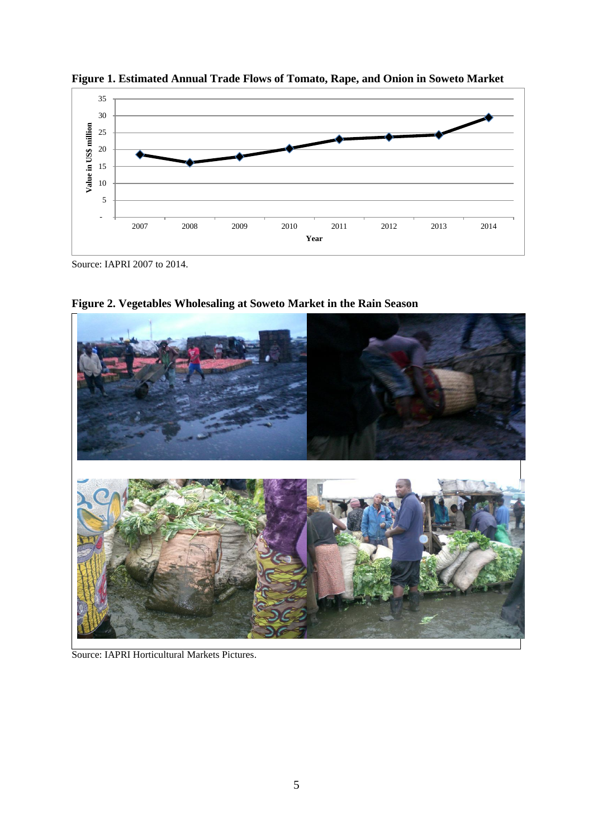

**Figure 1. Estimated Annual Trade Flows of Tomato, Rape, and Onion in Soweto Market**

Source: IAPRI 2007 to 2014.



**Figure 2. Vegetables Wholesaling at Soweto Market in the Rain Season**

Source: IAPRI Horticultural Markets Pictures.